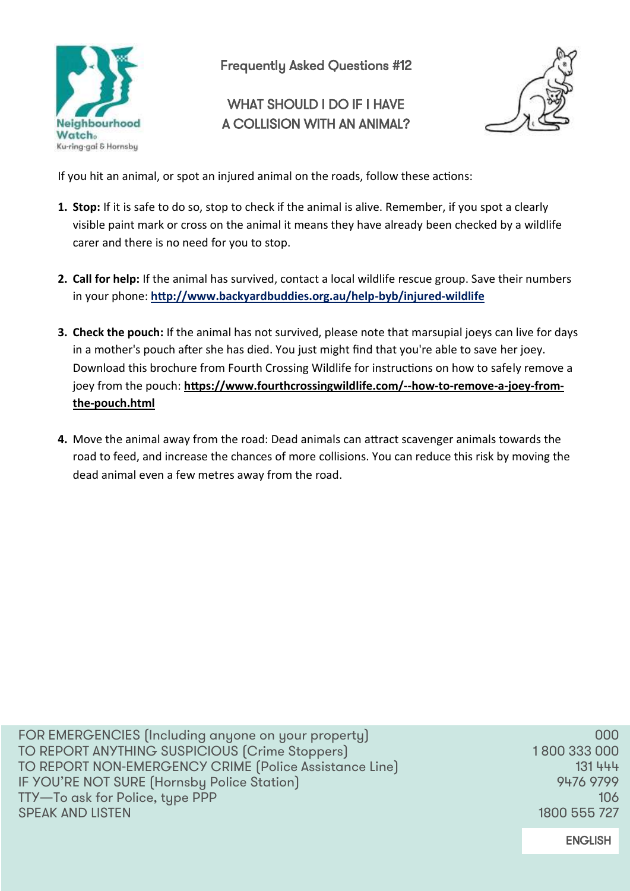

Frequently Asked Questions #12

## WHAT SHOULD LDO IF LHAVE A COLLISION WITH AN ANIMAL?



If you hit an animal, or spot an injured animal on the roads, follow these actions:

- **1. Stop:** If it is safe to do so, stop to check if the animal is alive. Remember, if you spot a clearly visible paint mark or cross on the animal it means they have already been checked by a wildlife carer and there is no need for you to stop.
- **2. Call for help:** If the animal has survived, contact a local wildlife rescue group. Save their numbers in your phone: **[http://www.backyardbuddies.org.au/help](http://www.backyardbuddies.org.au/help-byb/injured-wildlife)-byb/injured-wildlife**
- **3. Check the pouch:** If the animal has not survived, please note that marsupial joeys can live for days in a mother's pouch after she has died. You just might find that you're able to save her joey. Download this brochure from Fourth Crossing Wildlife for instructions on how to safely remove a joey from the pouch: **[https://www.fourthcrossingwildlife.com/](https://www.fourthcrossingwildlife.com/--how-to-remove-a-joey-from-the-pouch.html)--how-to-remove-a-joey-fromthe-[pouch.html](https://www.fourthcrossingwildlife.com/--how-to-remove-a-joey-from-the-pouch.html)**
- **4.** Move the animal away from the road: Dead animals can attract scavenger animals towards the road to feed, and increase the chances of more collisions. You can reduce this risk by moving the dead animal even a few metres away from the road.

FOR EMERGENCIES (Including anyone on your property) 000 TO REPORT ANYTHING SUSPICIOUS (Crime Stoppers) 1800 333 000 TO REPORT NON-EMERGENCY CRIME (Police Assistance Line) 131 444 IF YOU'RE NOT SURE (Hornsby Police Station) 8476 9799 TTY—To ask for Police, type PPP 106 SPEAK AND LISTEN 1800 555 727

**ENGLISH**